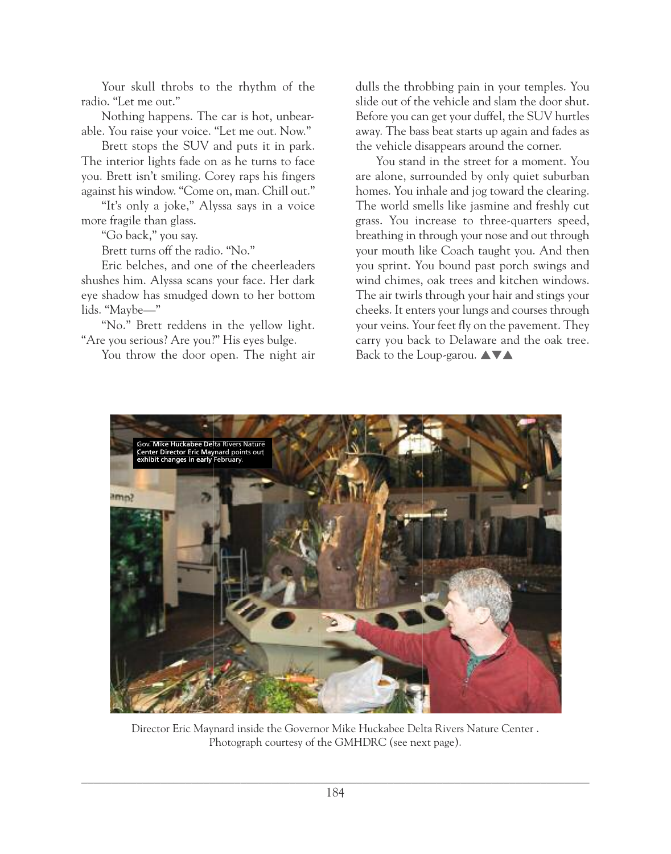Your skull throbs to the rhythm of the radio. "Let me out."

Nothing happens. The car is hot, unbearable. You raise your voice. "Let me out. Now."

Brett stops the SUV and puts it in park. The interior lights fade on as he turns to face you. Brett isn't smiling. Corey raps his fingers against his window. "Come on, man. Chill out."

"It's only a joke," Alyssa says in a voice more fragile than glass.

"Go back," you say.

Brett turns off the radio. "No."

Eric belches, and one of the cheerleaders shushes him. Alyssa scans your face. Her dark eye shadow has smudged down to her bottom lids. "Maybe—"

"No." Brett reddens in the yellow light. "Are you serious? Are you?" His eyes bulge.

You throw the door open. The night air

dulls the throbbing pain in your temples. You slide out of the vehicle and slam the door shut. Before you can get your duffel, the SUV hurtles away. The bass beat starts up again and fades as the vehicle disappears around the corner.

You stand in the street for a moment. You are alone, surrounded by only quiet suburban homes. You inhale and jog toward the clearing. The world smells like jasmine and freshly cut grass. You increase to three-quarters speed, breathing in through your nose and out through your mouth like Coach taught you. And then you sprint. You bound past porch swings and wind chimes, oak trees and kitchen windows. The air twirls through your hair and stings your cheeks. It enters your lungs and courses through your veins. Your feet fly on the pavement. They carry you back to Delaware and the oak tree. Back to the Loup-garou.  $\blacktriangle \blacktriangledown \blacktriangle$ 



Director Eric Maynard inside the Governor Mike Huckabee Delta Rivers Nature Center. Photograph courtesy of the GMHDRC (see next page).